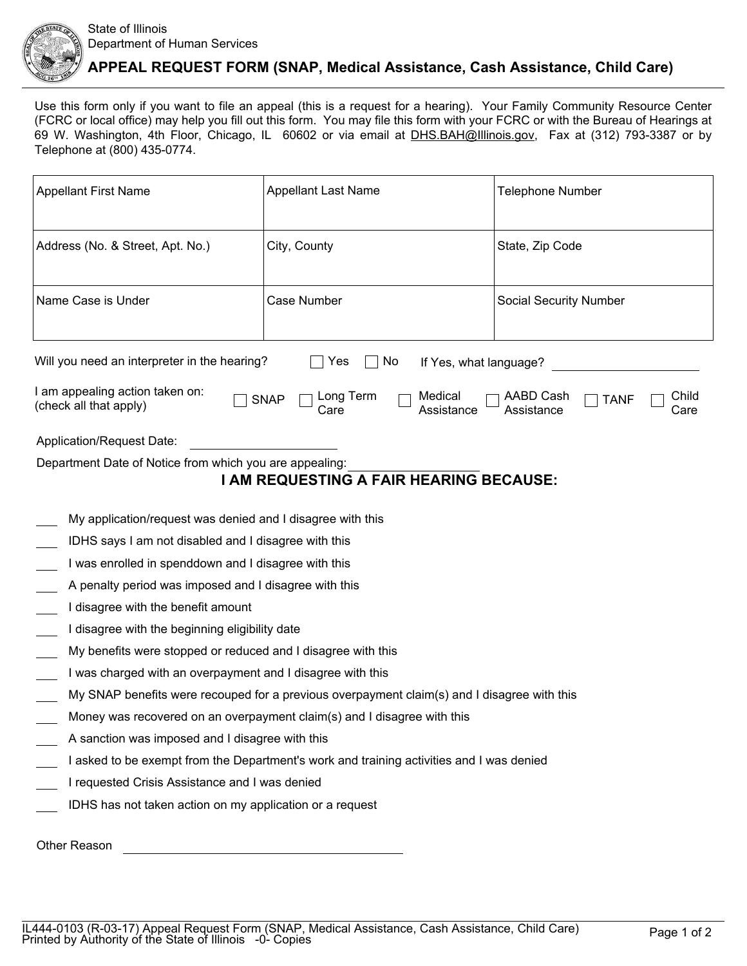

## **APPEAL REQUEST FORM (SNAP, Medical Assistance, Cash Assistance, Child Care)**

Use this form only if you want to file an appeal (this is a request for a hearing). Your Family Community Resource Center (FCRC or local office) may help you fill out this form. You may file this form with your FCRC or with the Bureau of Hearings at 69 W. Washington, 4th Floor, Chicago, IL 60602 or via email at DHS.BAH@Illinois.gov, Fax at (312) 793-3387 or by Telephone at (800) 435-0774.

| <b>Appellant First Name</b>                                                                                                                                                              | <b>Appellant Last Name</b> | <b>Telephone Number</b>       |  |  |
|------------------------------------------------------------------------------------------------------------------------------------------------------------------------------------------|----------------------------|-------------------------------|--|--|
| Address (No. & Street, Apt. No.)                                                                                                                                                         | City, County               | State, Zip Code               |  |  |
| Name Case is Under                                                                                                                                                                       | Case Number                | <b>Social Security Number</b> |  |  |
| Will you need an interpreter in the hearing?<br>No.<br>Yes<br>If Yes, what language?                                                                                                     |                            |                               |  |  |
| I am appealing action taken on:<br>Long Term<br>Medical<br><b>AABD Cash</b><br>Child<br><b>SNAP</b><br><b>TANF</b><br>(check all that apply)<br>Assistance<br>Assistance<br>Care<br>Care |                            |                               |  |  |
| Application/Request Date:                                                                                                                                                                |                            |                               |  |  |
| Department Date of Notice from which you are appealing:                                                                                                                                  |                            |                               |  |  |
| I AM REQUESTING A FAIR HEARING BECAUSE:                                                                                                                                                  |                            |                               |  |  |
| My application/request was denied and I disagree with this                                                                                                                               |                            |                               |  |  |
| IDHS says I am not disabled and I disagree with this                                                                                                                                     |                            |                               |  |  |
| I was enrolled in spenddown and I disagree with this                                                                                                                                     |                            |                               |  |  |
| A penalty period was imposed and I disagree with this                                                                                                                                    |                            |                               |  |  |
| I disagree with the benefit amount                                                                                                                                                       |                            |                               |  |  |
| I disagree with the beginning eligibility date                                                                                                                                           |                            |                               |  |  |
| My benefits were stopped or reduced and I disagree with this                                                                                                                             |                            |                               |  |  |
| I was charged with an overpayment and I disagree with this                                                                                                                               |                            |                               |  |  |
| My SNAP benefits were recouped for a previous overpayment claim(s) and I disagree with this                                                                                              |                            |                               |  |  |
| Money was recovered on an overpayment claim(s) and I disagree with this                                                                                                                  |                            |                               |  |  |
| A sanction was imposed and I disagree with this                                                                                                                                          |                            |                               |  |  |
| I asked to be exempt from the Department's work and training activities and I was denied                                                                                                 |                            |                               |  |  |
| I requested Crisis Assistance and I was denied                                                                                                                                           |                            |                               |  |  |
| IDHS has not taken action on my application or a request                                                                                                                                 |                            |                               |  |  |
| Other Reason                                                                                                                                                                             |                            |                               |  |  |